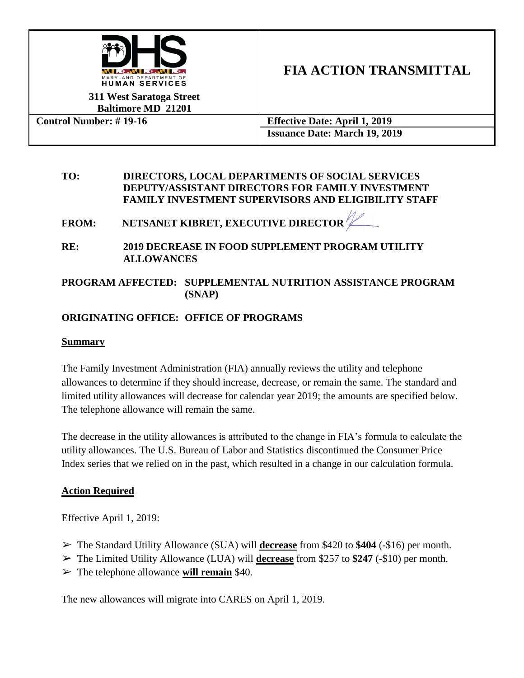

# **FIA ACTION TRANSMITTAL**

**311 West Saratoga Street Baltimore MD 21201**

**Control Number: # 19-16 Effective Date: April 1, 2019 Issuance Date: March 19, 2019**

#### **TO: DIRECTORS, LOCAL DEPARTMENTS OF SOCIAL SERVICES DEPUTY/ASSISTANT DIRECTORS FOR FAMILY INVESTMENT FAMILY INVESTMENT SUPERVISORS AND ELIGIBILITY STAFF**

**FROM: NETSANET KIBRET, EXECUTIVE DIRECTOR** 

**RE: 2019 DECREASE IN FOOD SUPPLEMENT PROGRAM UTILITY ALLOWANCES**

## **PROGRAM AFFECTED: SUPPLEMENTAL NUTRITION ASSISTANCE PROGRAM (SNAP)**

## **ORIGINATING OFFICE: OFFICE OF PROGRAMS**

#### **Summary**

The Family Investment Administration (FIA) annually reviews the utility and telephone allowances to determine if they should increase, decrease, or remain the same. The standard and limited utility allowances will decrease for calendar year 2019; the amounts are specified below. The telephone allowance will remain the same.

The decrease in the utility allowances is attributed to the change in FIA's formula to calculate the utility allowances. The U.S. Bureau of Labor and Statistics discontinued the Consumer Price Index series that we relied on in the past, which resulted in a change in our calculation formula.

### **Action Required**

Effective April 1, 2019:

- ➢ The Standard Utility Allowance (SUA) will **decrease** from \$420 to **\$404** (-\$16) per month.
- ➢ The Limited Utility Allowance (LUA) will **decrease** from \$257 to **\$247** (-\$10) per month.
- ➢ The telephone allowance **will remain** \$40.

The new allowances will migrate into CARES on April 1, 2019.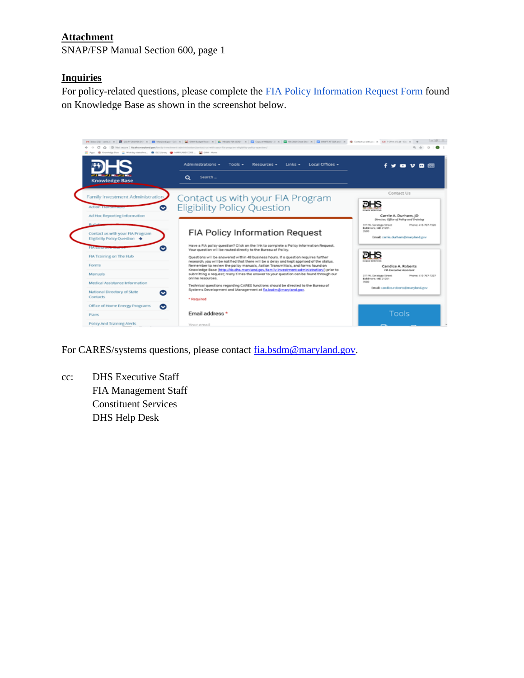## **Attachment**

SNAP/FSP Manual Section 600, page 1

### **Inquiries**

For policy-related questions, please complete the [FIA Policy Information Request Form](http://kb.dhs.maryland.gov/family-investment-administration/contact-us-with-your-fia-program-eligibility-policy-question/) found on Knowledge Base as shown in the screenshot below.



For CARES/systems questions, please contact  $\frac{\text{fia.bsdm@maryland.gov}}{\text{fia.bsdm@maryland.gov}}$ .

cc: DHS Executive Staff FIA Management Staff Constituent Services DHS Help Desk